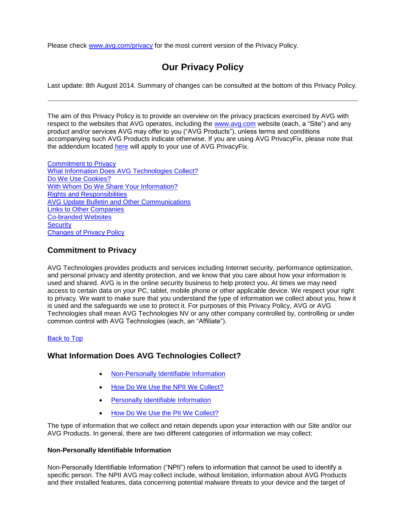Please check [www.avg.com/privacy](http://www.avg.com/privacy) for the most current version of the Privacy Policy.

# **Our Privacy Policy**

Last update: 8th August 2014. Summary of changes can be consulted at the bottom of this Privacy Policy.

The aim of this Privacy Policy is to provide an overview on the privacy practices exercised by AVG with respect to the websites that AVG operates, including the [www.avg.com](http://www.avg.com/) website (each, a "Site") and any product and/or services AVG may offer to you ("AVG Products"), unless terms and conditions accompanying such AVG Products indicate otherwise. If you are using AVG PrivacyFix, please note that the addendum located [here](http://www.avg.com/ww-en/company/about-us/policies/privacyfix-addendum) will apply to your use of AVG PrivacyFix.

Commitment to Privacy What Information Does AVG Technologies Collect? Do We Use Cookies? With Whom Do We Share Your Information? Rights and Responsibilities AVG Update Bulletin and Other Communications Links to Other Companies Co-branded Websites **Security** Changes of Privacy Policy

# **Commitment to Privacy**

AVG Technologies provides products and services including Internet security, performance optimization, and personal privacy and identity protection, and we know that you care about how your information is used and shared. AVG is in the online security business to help protect you. At times we may need access to certain data on your PC, tablet, mobile phone or other applicable device. We respect your right to privacy. We want to make sure that you understand the type of information we collect about you, how it is used and the safeguards we use to protect it. For purposes of this Privacy Policy, AVG or AVG Technologies shall mean AVG Technologies NV or any other company controlled by, controlling or under common control with AVG Technologies (each, an "Affiliate").

### Back to Top

# **What Information Does AVG Technologies Collect?**

- Non-Personally Identifiable Information
- How Do We Use the NPII We Collect?
- Personally Identifiable Information
- How Do We Use the PII We Collect?

The type of information that we collect and retain depends upon your interaction with our Site and/or our AVG Products. In general, there are two different categories of information we may collect:

#### **Non-Personally Identifiable Information**

Non-Personally Identifiable Information ("NPII") refers to information that cannot be used to identify a specific person. The NPII AVG may collect include, without limitation, information about AVG Products and their installed features, data concerning potential malware threats to your device and the target of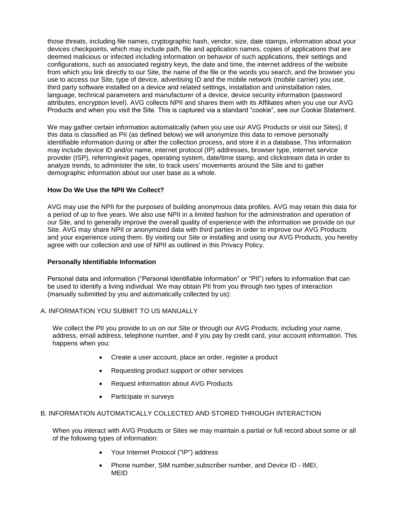those threats, including file names, cryptographic hash, vendor, size, date stamps, information about your devices checkpoints, which may include path, file and application names, copies of applications that are deemed malicious or infected including information on behavior of such applications, their settings and configurations, such as associated registry keys, the date and time, the internet address of the website from which you link directly to our Site, the name of the file or the words you search, and the browser you use to access our Site, type of device, advertising ID and the mobile network (mobile carrier) you use, third party software installed on a device and related settings, installation and uninstallation rates, language, technical parameters and manufacturer of a device, device security information (password attributes, encryption level). AVG collects NPII and shares them with its Affiliates when you use our AVG Products and when you visit the Site. This is captured via a standard "cookie", see our Cookie Statement.

We may gather certain information automatically (when you use our AVG Products or visit our Sites), if this data is classified as PII (as defined below) we will anonymize this data to remove personally identifiable information during or after the collection process, and store it in a database. This information may include device ID and/or name, internet protocol (IP) addresses, browser type, internet service provider (ISP), referring/exit pages, operating system, date/time stamp, and clickstream data in order to analyze trends, to administer the site, to track users' movements around the Site and to gather demographic information about our user base as a whole.

### **How Do We Use the NPII We Collect?**

AVG may use the NPII for the purposes of building anonymous data profiles. AVG may retain this data for a period of up to five years. We also use NPII in a limited fashion for the administration and operation of our Site, and to generally improve the overall quality of experience with the information we provide on our Site. AVG may share NPII or anonymized data with third parties in order to improve our AVG Products and your experience using them. By visiting our Site or installing and using our AVG Products, you hereby agree with our collection and use of NPII as outlined in this Privacy Policy.

#### **Personally Identifiable Information**

Personal data and information ("Personal Identifiable Information" or "PII") refers to information that can be used to identify a living individual. We may obtain PII from you through two types of interaction (manually submitted by you and automatically collected by us):

#### A. INFORMATION YOU SUBMIT TO US MANUALLY

We collect the PII you provide to us on our Site or through our AVG Products, including your name, address, email address, telephone number, and if you pay by credit card, your account information. This happens when you:

- Create a user account, place an order, register a product
- Requesting product support or other services
- Request information about AVG Products
- Participate in surveys

#### B. INFORMATION AUTOMATICALLY COLLECTED AND STORED THROUGH INTERACTION

When you interact with AVG Products or Sites we may maintain a partial or full record about some or all of the following types of information:

- Your Internet Protocol ("IP") address
- Phone number, SIM number,subscriber number, and Device ID IMEI, MEID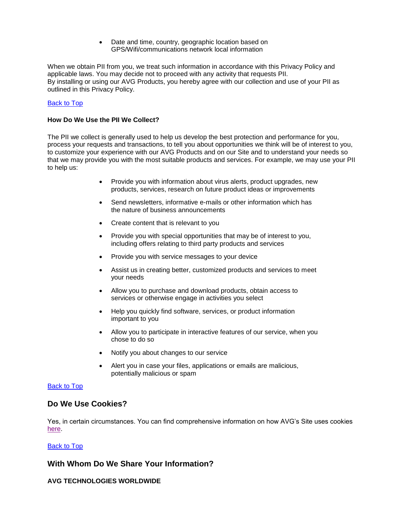Date and time, country, geographic location based on GPS/Wifi/communications network local information

When we obtain PII from you, we treat such information in accordance with this Privacy Policy and applicable laws. You may decide not to proceed with any activity that requests PII. By installing or using our AVG Products, you hereby agree with our collection and use of your PII as outlined in this Privacy Policy.

#### Back to Top

#### **How Do We Use the PII We Collect?**

The PII we collect is generally used to help us develop the best protection and performance for you, process your requests and transactions, to tell you about opportunities we think will be of interest to you, to customize your experience with our AVG Products and on our Site and to understand your needs so that we may provide you with the most suitable products and services. For example, we may use your PII to help us:

- Provide you with information about virus alerts, product upgrades, new products, services, research on future product ideas or improvements
- Send newsletters, informative e-mails or other information which has the nature of business announcements
- Create content that is relevant to you
- Provide you with special opportunities that may be of interest to you, including offers relating to third party products and services
- Provide you with service messages to your device
- Assist us in creating better, customized products and services to meet your needs
- Allow you to purchase and download products, obtain access to services or otherwise engage in activities you select
- Help you quickly find software, services, or product information important to you
- Allow you to participate in interactive features of our service, when you chose to do so
- Notify you about changes to our service
- Alert you in case your files, applications or emails are malicious, potentially malicious or spam

#### Back to Top

### **Do We Use Cookies?**

Yes, in certain circumstances. You can find comprehensive information on how AVG's Site uses cookies here.

#### **Back to Top**

### **With Whom Do We Share Your Information?**

## **AVG TECHNOLOGIES WORLDWIDE**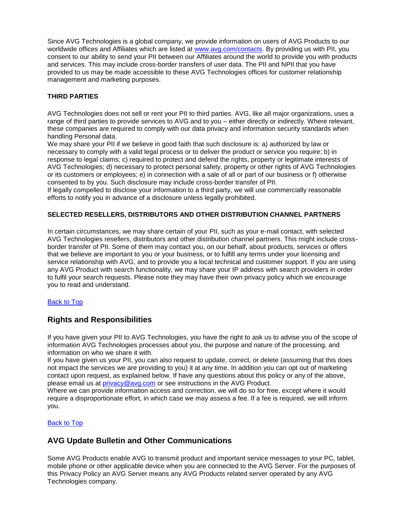Since AVG Technologies is a global company, we provide information on users of AVG Products to our worldwide offices and Affiliates which are listed at [www.avg.com/contacts.](http://www.avg.com/contacts) By providing us with PII, you consent to our ability to send your PII between our Affiliates around the world to provide you with products and services. This may include cross-border transfers of user data. The PII and NPII that you have provided to us may be made accessible to these AVG Technologies offices for customer relationship management and marketing purposes.

### **THIRD PARTIES**

AVG Technologies does not sell or rent your PII to third parties. AVG, like all major organizations, uses a range of third parties to provide services to AVG and to you – either directly or indirectly. Where relevant, these companies are required to comply with our data privacy and information security standards when handling Personal data.

We may share your PII if we believe in good faith that such disclosure is: a) authorized by law or necessary to comply with a valid legal process or to deliver the product or service you require; b) in response to legal claims; c) required to protect and defend the rights, property or legitimate interests of AVG Technologies; d) necessary to protect personal safety, property or other rights of AVG Technologies or its customers or employees; e) in connection with a sale of all or part of our business or f) otherwise consented to by you. Such disclosure may include cross-border transfer of PII.

If legally compelled to disclose your information to a third party, we will use commercially reasonable efforts to notify you in advance of a disclosure unless legally prohibited.

### **SELECTED RESELLERS, DISTRIBUTORS AND OTHER DISTRIBUTION CHANNEL PARTNERS**

In certain circumstances, we may share certain of your PII, such as your e-mail contact, with selected AVG Technologies resellers, distributors and other distribution channel partners. This might include crossborder transfer of PII. Some of them may contact you, on our behalf, about products, services or offers that we believe are important to you or your business, or to fulfill any terms under your licensing and service relationship with AVG, and to provide you a local technical and customer support. If you are using any AVG Product with search functionality, we may share your IP address with search providers in order to fulfil your search requests. Please note they may have their own privacy policy which we encourage you to read and understand.

### Back to Top

# **Rights and Responsibilities**

If you have given your PII to AVG Technologies, you have the right to ask us to advise you of the scope of information AVG Technologies processes about you, the purpose and nature of the processing, and information on who we share it with.

If you have given us your PII, you can also request to update, correct, or delete (assuming that this does not impact the services we are providing to you) it at any time. In addition you can opt out of marketing contact upon request, as explained below. If have any questions about this policy or any of the above, please email us at *privacy@avg.com* or see instructions in the AVG Product.

Where we can provide information access and correction, we will do so for free, except where it would require a disproportionate effort, in which case we may assess a fee. If a fee is required, we will inform you.

### Back to Top

# **AVG Update Bulletin and Other Communications**

Some AVG Products enable AVG to transmit product and important service messages to your PC, tablet, mobile phone or other applicable device when you are connected to the AVG Server. For the purposes of this Privacy Policy an AVG Server means any AVG Products related server operated by any AVG Technologies company.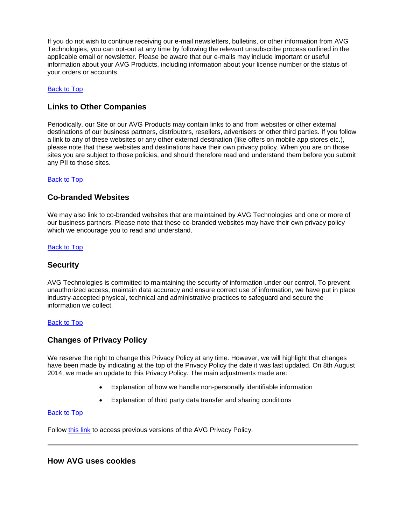If you do not wish to continue receiving our e-mail newsletters, bulletins, or other information from AVG Technologies, you can opt-out at any time by following the relevant unsubscribe process outlined in the applicable email or newsletter. Please be aware that our e-mails may include important or useful information about your AVG Products, including information about your license number or the status of your orders or accounts.

### Back to Top

# **Links to Other Companies**

Periodically, our Site or our AVG Products may contain links to and from websites or other external destinations of our business partners, distributors, resellers, advertisers or other third parties. If you follow a link to any of these websites or any other external destination (like offers on mobile app stores etc.), please note that these websites and destinations have their own privacy policy. When you are on those sites you are subject to those policies, and should therefore read and understand them before you submit any PII to those sites.

### Back to Top

## **Co-branded Websites**

We may also link to co-branded websites that are maintained by AVG Technologies and one or more of our business partners. Please note that these co-branded websites may have their own privacy policy which we encourage you to read and understand.

### Back to Top

### **Security**

AVG Technologies is committed to maintaining the security of information under our control. To prevent unauthorized access, maintain data accuracy and ensure correct use of information, we have put in place industry-accepted physical, technical and administrative practices to safeguard and secure the information we collect.

#### Back to Top

## **Changes of Privacy Policy**

We reserve the right to change this Privacy Policy at any time. However, we will highlight that changes have been made by indicating at the top of the Privacy Policy the date it was last updated. On 8th August 2014, we made an update to this Privacy Policy. The main adjustments made are:

- Explanation of how we handle non-personally identifiable information
- Explanation of third party data transfer and sharing conditions

#### Back to Top

Follow [this link](http://www.avg.com/privacy-archive) to access previous versions of the AVG Privacy Policy.

# **How AVG uses cookies**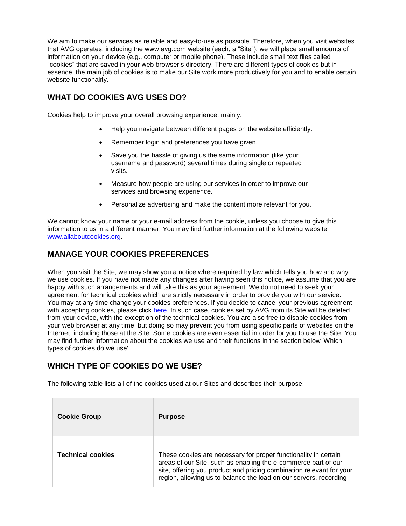We aim to make our services as reliable and easy-to-use as possible. Therefore, when you visit websites that AVG operates, including the www.avg.com website (each, a "Site"), we will place small amounts of information on your device (e.g., computer or mobile phone). These include small text files called "cookies" that are saved in your web browser's directory. There are different types of cookies but in essence, the main job of cookies is to make our Site work more productively for you and to enable certain website functionality.

# **WHAT DO COOKIES AVG USES DO?**

Cookies help to improve your overall browsing experience, mainly:

- Help you navigate between different pages on the website efficiently.
- Remember login and preferences you have given.
- Save you the hassle of giving us the same information (like your username and password) several times during single or repeated visits.
- Measure how people are using our services in order to improve our services and browsing experience.
- Personalize advertising and make the content more relevant for you.

We cannot know your name or your e-mail address from the cookie, unless you choose to give this information to us in a different manner. You may find further information at the following website [www.allaboutcookies.org.](http://www.allaboutcookies.org/)

# **MANAGE YOUR COOKIES PREFERENCES**

When you visit the Site, we may show you a notice where required by law which tells you how and why we use cookies. If you have not made any changes after having seen this notice, we assume that you are happy with such arrangements and will take this as your agreement. We do not need to seek your agreement for technical cookies which are strictly necessary in order to provide you with our service. You may at any time change your cookies preferences. If you decide to cancel your previous agreement with accepting cookies, please click [here.](http://www.avg.com/cookie-consent-action.tpl-stdfull?cookies=0) In such case, cookies set by AVG from its Site will be deleted from your device, with the exception of the technical cookies. You are also free to disable cookies from your web browser at any time, but doing so may prevent you from using specific parts of websites on the Internet, including those at the Site. Some cookies are even essential in order for you to use the Site. You may find further information about the cookies we use and their functions in the section below 'Which types of cookies do we use'.

# **WHICH TYPE OF COOKIES DO WE USE?**

The following table lists all of the cookies used at our Sites and describes their purpose:

| <b>Cookie Group</b>      | <b>Purpose</b>                                                                                                                                                                                                                                                                 |
|--------------------------|--------------------------------------------------------------------------------------------------------------------------------------------------------------------------------------------------------------------------------------------------------------------------------|
| <b>Technical cookies</b> | These cookies are necessary for proper functionality in certain<br>areas of our Site, such as enabling the e-commerce part of our<br>site, offering you product and pricing combination relevant for your<br>region, allowing us to balance the load on our servers, recording |